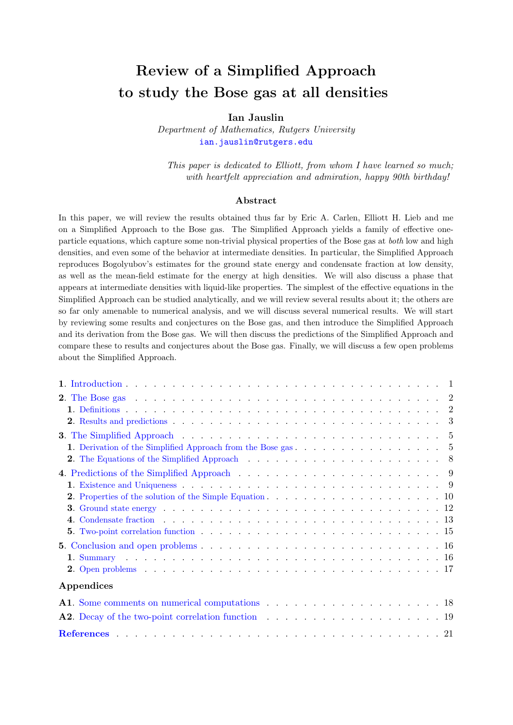# Review of a Simplified Approach to study the Bose gas at all densities

## Ian Jauslin

Department of Mathematics, Rutgers University [ian.jauslin@rutgers.edu](mailto:ian.jauslin@rutgers.edu)

This paper is dedicated to Elliott, from whom I have learned so much; with heartfelt appreciation and admiration, happy 90th birthday!

#### Abstract

In this paper, we will review the results obtained thus far by Eric A. Carlen, Elliott H. Lieb and me on a Simplified Approach to the Bose gas. The Simplified Approach yields a family of effective oneparticle equations, which capture some non-trivial physical properties of the Bose gas at both low and high densities, and even some of the behavior at intermediate densities. In particular, the Simplified Approach reproduces Bogolyubov's estimates for the ground state energy and condensate fraction at low density, as well as the mean-field estimate for the energy at high densities. We will also discuss a phase that appears at intermediate densities with liquid-like properties. The simplest of the effective equations in the Simplified Approach can be studied analytically, and we will review several results about it; the others are so far only amenable to numerical analysis, and we will discuss several numerical results. We will start by reviewing some results and conjectures on the Bose gas, and then introduce the Simplified Approach and its derivation from the Bose gas. We will then discuss the predictions of the Simplified Approach and compare these to results and conjectures about the Bose gas. Finally, we will discuss a few open problems about the Simplified Approach.

| 2. Results and predictions $\ldots$ $\ldots$ $\ldots$ $\ldots$ $\ldots$ $\ldots$ $\ldots$ $\ldots$ $\ldots$ $\ldots$ $\ldots$ $\ldots$ $\ldots$             |  |
|-------------------------------------------------------------------------------------------------------------------------------------------------------------|--|
| <b>3.</b> The Simplified Approach $\ldots$ , $\ldots$ , $\ldots$ , $\ldots$ , $\ldots$ , $\ldots$ , $\ldots$ , $\ldots$ , $\ldots$ , $\hspace{.08cm}$       |  |
|                                                                                                                                                             |  |
|                                                                                                                                                             |  |
|                                                                                                                                                             |  |
|                                                                                                                                                             |  |
|                                                                                                                                                             |  |
| <b>3.</b> Ground state energy $\ldots$ $\ldots$ $\ldots$ $\ldots$ $\ldots$ $\ldots$ $\ldots$ $\ldots$ $\ldots$ $\ldots$ $\ldots$ $\ldots$ $\ldots$ $\ldots$ |  |
| 4. Condensate fraction $\ldots$ , $\ldots$ , $\ldots$ , $\ldots$ , $\ldots$ , $\ldots$ , $\ldots$ , $\ldots$ , $\ldots$                                     |  |
| <b>5.</b> Two-point correlation function $\ldots$ , $\ldots$ , $\ldots$ , $\ldots$ , $\ldots$ , $\ldots$ , $\ldots$ , $\ldots$                              |  |
|                                                                                                                                                             |  |
|                                                                                                                                                             |  |
|                                                                                                                                                             |  |
| Appendices                                                                                                                                                  |  |
|                                                                                                                                                             |  |
|                                                                                                                                                             |  |
|                                                                                                                                                             |  |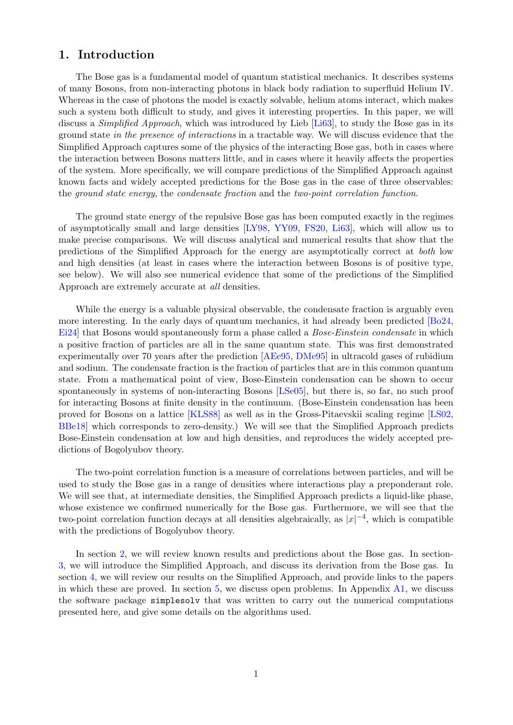## <span id="page-1-0"></span>1. Introduction

The Bose gas is a fundamental model of quantum statistical mechanics. It describes systems of many Bosons, from non-interacting photons in black body radiation to superfluid Helium IV. Whereas in the case of photons the model is exactly solvable, helium atoms interact, which makes such a system both difficult to study, and gives it interesting properties. In this paper, we will discuss a *Simplified Approach*, which was introduced by Lieb [\[Li63\]](#page-22-0), to study the Bose gas in its ground state in the presence of interactions in a tractable way. We will discuss evidence that the Simplified Approach captures some of the physics of the interacting Bose gas, both in cases where the interaction between Bosons matters little, and in cases where it heavily affects the properties of the system. More specifically, we will compare predictions of the Simplified Approach against known facts and widely accepted predictions for the Bose gas in the case of three observables: the ground state energy, the condensate fraction and the two-point correlation function.

The ground state energy of the repulsive Bose gas has been computed exactly in the regimes of asymptotically small and large densities [\[LY98,](#page-22-1) [YY09,](#page-22-2) [FS20,](#page-21-1) [Li63\]](#page-22-0), which will allow us to make precise comparisons. We will discuss analytical and numerical results that show that the predictions of the Simplified Approach for the energy are asymptotically correct at both low and high densities (at least in cases where the interaction between Bosons is of positive type, see below). We will also see numerical evidence that some of the predictions of the Simplified Approach are extremely accurate at all densities.

While the energy is a valuable physical observable, the condensate fraction is arguably even more interesting. In the early days of quantum mechanics, it had already been predicted [\[Bo24,](#page-21-2) [Ei24\]](#page-21-3) that Bosons would spontaneously form a phase called a *Bose-Einstein condensate* in which a positive fraction of particles are all in the same quantum state. This was first demonstrated experimentally over 70 years after the prediction [\[AEe95,](#page-21-4) [DMe95\]](#page-21-5) in ultracold gases of rubidium and sodium. The condensate fraction is the fraction of particles that are in this common quantum state. From a mathematical point of view, Bose-Einstein condensation can be shown to occur spontaneously in systems of non-interacting Bosons [\[LSe05\]](#page-22-3), but there is, so far, no such proof for interacting Bosons at finite density in the continuum. (Bose-Einstein condensation has been proved for Bosons on a lattice [\[KLS88\]](#page-22-4) as well as in the Gross-Pitaevskii scaling regime [\[LS02,](#page-22-5) [BBe18\]](#page-21-6) which corresponds to zero-density.) We will see that the Simplified Approach predicts Bose-Einstein condensation at low and high densities, and reproduces the widely accepted predictions of Bogolyubov theory.

The two-point correlation function is a measure of correlations between particles, and will be used to study the Bose gas in a range of densities where interactions play a preponderant role. We will see that, at intermediate densities, the Simplified Approach predicts a liquid-like phase, whose existence we confirmed numerically for the Bose gas. Furthermore, we will see that the two-point correlation function decays at all densities algebraically, as  $|x|^{-4}$ , which is compatible with the predictions of Bogolyubov theory.

In section [2,](#page-2-0) we will review known results and predictions about the Bose gas. In section-[3,](#page-5-0) we will introduce the Simplified Approach, and discuss its derivation from the Bose gas. In section [4,](#page-9-0) we will review our results on the Simplified Approach, and provide links to the papers in which these are proved. In section [5,](#page-16-0) we discuss open problems. In Appendix [A1,](#page-18-0) we discuss the software package simplesolv that was written to carry out the numerical computations presented here, and give some details on the algorithms used.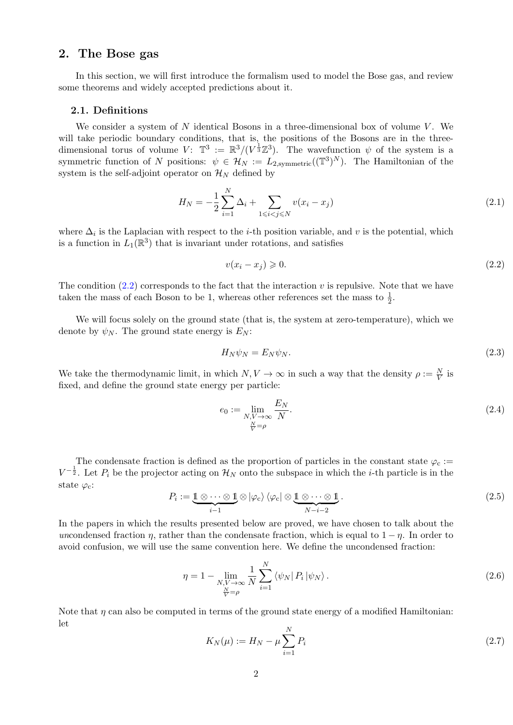## <span id="page-2-0"></span>2. The Bose gas

In this section, we will first introduce the formalism used to model the Bose gas, and review some theorems and widely accepted predictions about it.

#### <span id="page-2-1"></span>2.1. Definitions

We consider a system of  $N$  identical Bosons in a three-dimensional box of volume  $V$ . We will take periodic boundary conditions, that is, the positions of the Bosons are in the threedimensional torus of volume  $V: \mathbb{T}^3 := \mathbb{R}^3/(V^{\frac{1}{3}}\mathbb{Z}^3)$ . The wavefunction  $\psi$  of the system is a symmetric function of N positions:  $\psi \in \mathcal{H}_N := L_{2,\text{symmetric}}((\mathbb{T}^3)^N)$ . The Hamiltonian of the system is the self-adjoint operator on  $\mathcal{H}_N$  defined by

$$
H_N = -\frac{1}{2} \sum_{i=1}^N \Delta_i + \sum_{1 \le i < j \le N} v(x_i - x_j) \tag{2.1}
$$

where  $\Delta_i$  is the Laplacian with respect to the *i*-th position variable, and v is the potential, which is a function in  $L_1(\mathbb{R}^3)$  that is invariant under rotations, and satisfies

<span id="page-2-2"></span>
$$
v(x_i - x_j) \geqslant 0. \tag{2.2}
$$

The condition  $(2.2)$  corresponds to the fact that the interaction v is repulsive. Note that we have taken the mass of each Boson to be 1, whereas other references set the mass to  $\frac{1}{2}$ .

We will focus solely on the ground state (that is, the system at zero-temperature), which we denote by  $\psi_N$ . The ground state energy is  $E_N$ :

<span id="page-2-3"></span>
$$
H_N \psi_N = E_N \psi_N. \tag{2.3}
$$

We take the thermodynamic limit, in which  $N, V \to \infty$  in such a way that the density  $\rho := \frac{N}{V}$  is fixed, and define the ground state energy per particle:

$$
e_0 := \lim_{\substack{N,V \to \infty \\ \frac{N}{V} = \rho}} \frac{E_N}{N}.
$$
\n(2.4)

The condensate fraction is defined as the proportion of particles in the constant state  $\varphi_c$ :=  $V^{-\frac{1}{2}}$ . Let  $P_i$  be the projector acting on  $\mathcal{H}_N$  onto the subspace in which the *i*-th particle is in the state  $\varphi_c$ :

$$
P_i := \underbrace{\mathbb{1} \otimes \cdots \otimes \mathbb{1}}_{i-1} \otimes |\varphi_c\rangle \langle \varphi_c| \otimes \underbrace{\mathbb{1} \otimes \cdots \otimes \mathbb{1}}_{N-i-2}.
$$
\n(2.5)

In the papers in which the results presented below are proved, we have chosen to talk about the uncondensed fraction  $\eta$ , rather than the condensate fraction, which is equal to  $1 - \eta$ . In order to avoid confusion, we will use the same convention here. We define the uncondensed fraction:

$$
\eta = 1 - \lim_{\substack{N,V \to \infty \\ N \to \rho}} \frac{1}{N} \sum_{i=1}^{N} \left\langle \psi_N \right| P_i \left| \psi_N \right\rangle. \tag{2.6}
$$

Note that  $\eta$  can also be computed in terms of the ground state energy of a modified Hamiltonian: let

<span id="page-2-4"></span>
$$
K_N(\mu) := H_N - \mu \sum_{i=1}^N P_i \tag{2.7}
$$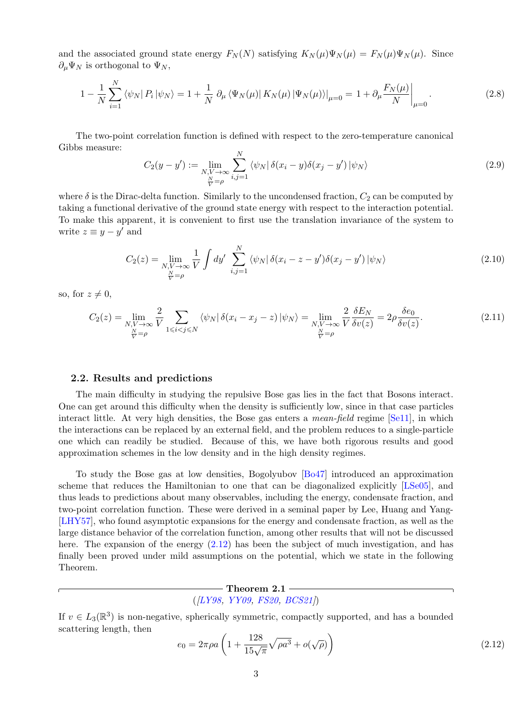and the associated ground state energy  $F_N(N)$  satisfying  $K_N(\mu)\Psi_N(\mu) = F_N(\mu)\Psi_N(\mu)$ . Since  $\partial_{\mu}\Psi_N$  is orthogonal to  $\Psi_N$ ,

$$
1 - \frac{1}{N} \sum_{i=1}^{N} \left\langle \psi_N | P_i | \psi_N \right\rangle = 1 + \frac{1}{N} \left. \partial_{\mu} \left\langle \Psi_N(\mu) | K_N(\mu) | \Psi_N(\mu) \right\rangle \right|_{\mu=0} = 1 + \left. \partial_{\mu} \frac{F_N(\mu)}{N} \right|_{\mu=0}.
$$
 (2.8)

The two-point correlation function is defined with respect to the zero-temperature canonical Gibbs measure:

<span id="page-3-2"></span>
$$
C_2(y - y') := \lim_{\substack{N, V \to \infty \\ \frac{N}{V} = \rho}} \sum_{i,j=1}^N \langle \psi_N | \delta(x_i - y) \delta(x_j - y') | \psi_N \rangle
$$
\n(2.9)

where  $\delta$  is the Dirac-delta function. Similarly to the uncondensed fraction,  $C_2$  can be computed by taking a functional derivative of the ground state energy with respect to the interaction potential. To make this apparent, it is convenient to first use the translation invariance of the system to write  $z \equiv y - y'$  and

$$
C_2(z) = \lim_{\substack{N,V \to \infty \\ N \equiv \rho}} \frac{1}{V} \int dy' \sum_{i,j=1}^N \langle \psi_N | \delta(x_i - z - y') \delta(x_j - y') | \psi_N \rangle \tag{2.10}
$$

so, for  $z \neq 0$ ,

<span id="page-3-3"></span>
$$
C_2(z) = \lim_{\substack{N,V \to \infty \\ \frac{N}{V} = \rho}} \frac{2}{V} \sum_{1 \le i < j \le N} \langle \psi_N | \delta(x_i - x_j - z) | \psi_N \rangle = \lim_{\substack{N,V \to \infty \\ \frac{N}{V} = \rho}} \frac{2}{V} \frac{\delta E_N}{\delta v(z)} = 2\rho \frac{\delta e_0}{\delta v(z)}.
$$
\n
$$
(2.11)
$$

#### <span id="page-3-0"></span>2.2. Results and predictions

The main difficulty in studying the repulsive Bose gas lies in the fact that Bosons interact. One can get around this difficulty when the density is sufficiently low, since in that case particles interact little. At very high densities, the Bose gas enters a *mean-field* regime [\[Se11\]](#page-22-6), in which the interactions can be replaced by an external field, and the problem reduces to a single-particle one which can readily be studied. Because of this, we have both rigorous results and good approximation schemes in the low density and in the high density regimes.

To study the Bose gas at low densities, Bogolyubov [\[Bo47\]](#page-21-7) introduced an approximation scheme that reduces the Hamiltonian to one that can be diagonalized explicitly [\[LSe05\]](#page-22-3), and thus leads to predictions about many observables, including the energy, condensate fraction, and two-point correlation function. These were derived in a seminal paper by Lee, Huang and Yang- [\[LHY57\]](#page-22-7), who found asymptotic expansions for the energy and condensate fraction, as well as the large distance behavior of the correlation function, among other results that will not be discussed here. The expansion of the energy  $(2.12)$  has been the subject of much investigation, and has finally been proved under mild assumptions on the potential, which we state in the following Theorem.

## $-$  Theorem 2.1 –  $(ILY98, YY09, FS20, BCS21)$  $(ILY98, YY09, FS20, BCS21)$  $(ILY98, YY09, FS20, BCS21)$  $(ILY98, YY09, FS20, BCS21)$  $(ILY98, YY09, FS20, BCS21)$

If  $v \in L_3(\mathbb{R}^3)$  is non-negative, spherically symmetric, compactly supported, and has a bounded scattering length, then

<span id="page-3-1"></span>
$$
e_0 = 2\pi \rho a \left( 1 + \frac{128}{15\sqrt{\pi}} \sqrt{\rho a^3} + o(\sqrt{\rho}) \right)
$$
 (2.12)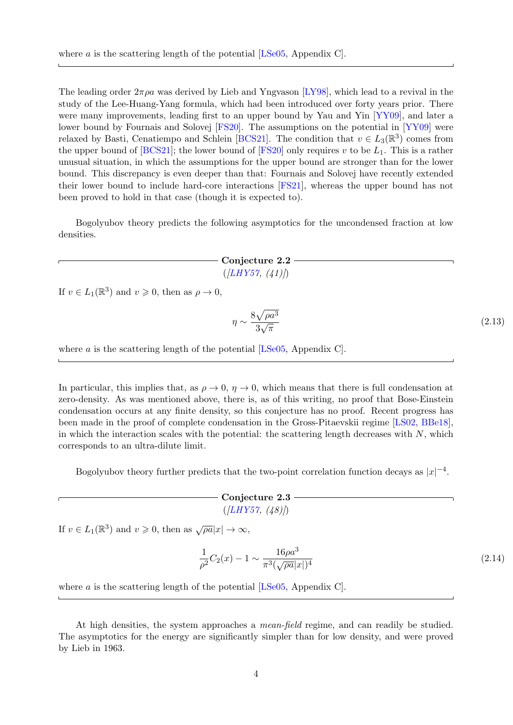The leading order  $2\pi\rho a$  was derived by Lieb and Yngvason [\[LY98\]](#page-22-1), which lead to a revival in the study of the Lee-Huang-Yang formula, which had been introduced over forty years prior. There were many improvements, leading first to an upper bound by Yau and Yin [\[YY09\]](#page-22-2), and later a lower bound by Fournais and Solovej [\[FS20\]](#page-21-1). The assumptions on the potential in [\[YY09\]](#page-22-2) were relaxed by Basti, Cenatiempo and Schlein [\[BCS21\]](#page-21-8). The condition that  $v \in L_3(\mathbb{R}^3)$  comes from the upper bound of  $[BCS21]$ ; the lower bound of  $[FS20]$  only requires v to be  $L_1$ . This is a rather unusual situation, in which the assumptions for the upper bound are stronger than for the lower bound. This discrepancy is even deeper than that: Fournais and Solovej have recently extended their lower bound to include hard-core interactions [\[FS21\]](#page-21-9), whereas the upper bound has not been proved to hold in that case (though it is expected to).

Bogolyubov theory predicts the following asymptotics for the uncondensed fraction at low densities.

> $-$  Conjecture 2.2  $([LHY57, (41)])$  $([LHY57, (41)])$  $([LHY57, (41)])$

If  $v \in L_1(\mathbb{R}^3)$  and  $v \geqslant 0$ , then as  $\rho \to 0$ ,

<span id="page-4-1"></span>
$$
\eta \sim \frac{8\sqrt{\rho a^3}}{3\sqrt{\pi}}\tag{2.13}
$$

where a is the scattering length of the potential  $[LSe05, Appendix C]$  $[LSe05, Appendix C]$ .

In particular, this implies that, as  $\rho \to 0$ ,  $\eta \to 0$ , which means that there is full condensation at zero-density. As was mentioned above, there is, as of this writing, no proof that Bose-Einstein condensation occurs at any finite density, so this conjecture has no proof. Recent progress has been made in the proof of complete condensation in the Gross-Pitaevskii regime [\[LS02,](#page-22-5) [BBe18\]](#page-21-6), in which the interaction scales with the potential: the scattering length decreases with  $N$ , which corresponds to an ultra-dilute limit.

Bogolyubov theory further predicts that the two-point correlation function decays as  $|x|^{-4}$ .

## <span id="page-4-0"></span> $-$  Conjecture 2.3  $(ILHY57, (48)$

If  $v \in L_1(\mathbb{R}^3)$  and  $v \geq 0$ , then as  $\sqrt{\rho a}|x| \to \infty$ ,

$$
\frac{1}{\rho^2}C_2(x) - 1 \sim \frac{16\rho a^3}{\pi^3(\sqrt{\rho a}|x|)^4}
$$
\n(2.14)

where a is the scattering length of the potential  $[LSe05, Appendix C]$  $[LSe05, Appendix C]$ .

At high densities, the system approaches a mean-field regime, and can readily be studied. The asymptotics for the energy are significantly simpler than for low density, and were proved by Lieb in 1963.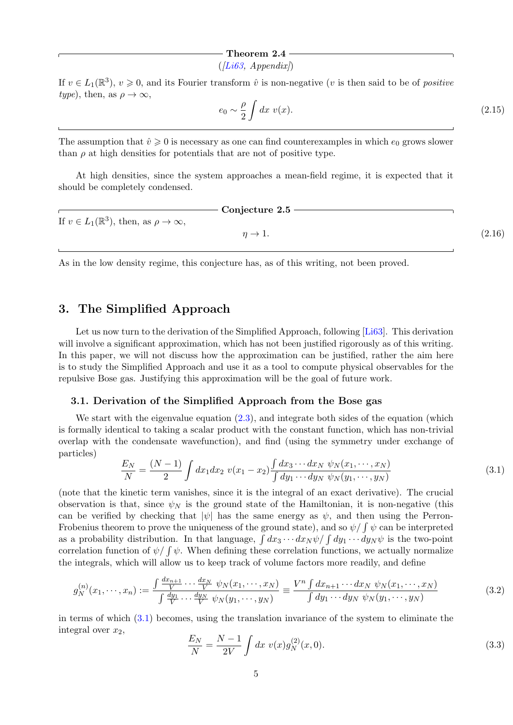#### Theorem 2.4

 $(ILi63, Appendix)$ 

If  $v \in L_1(\mathbb{R}^3)$ ,  $v \geq 0$ , and its Fourier transform  $\hat{v}$  is non-negative (v is then said to be of positive type), then, as  $\rho \to \infty$ ,

$$
e_0 \sim \frac{\rho}{2} \int dx \ v(x). \tag{2.15}
$$

The assumption that  $\hat{v} \ge 0$  is necessary as one can find counterexamples in which  $e_0$  grows slower than  $\rho$  at high densities for potentials that are not of positive type.

At high densities, since the system approaches a mean-field regime, it is expected that it should be completely condensed.

|                                                             | Conjecture 2.5        |        |
|-------------------------------------------------------------|-----------------------|--------|
| If $v \in L_1(\mathbb{R}^3)$ , then, as $\rho \to \infty$ , |                       |        |
|                                                             | $\eta \rightarrow 1.$ | (2.16) |
|                                                             |                       |        |

As in the low density regime, this conjecture has, as of this writing, not been proved.

## <span id="page-5-0"></span>3. The Simplified Approach

Let us now turn to the derivation of the Simplified Approach, following [\[Li63\]](#page-22-0). This derivation will involve a significant approximation, which has not been justified rigorously as of this writing. In this paper, we will not discuss how the approximation can be justified, rather the aim here is to study the Simplified Approach and use it as a tool to compute physical observables for the repulsive Bose gas. Justifying this approximation will be the goal of future work.

## <span id="page-5-1"></span>3.1. Derivation of the Simplified Approach from the Bose gas

We start with the eigenvalue equation  $(2.3)$ , and integrate both sides of the equation (which is formally identical to taking a scalar product with the constant function, which has non-trivial overlap with the condensate wavefunction), and find (using the symmetry under exchange of particles)

<span id="page-5-2"></span>
$$
\frac{E_N}{N} = \frac{(N-1)}{2} \int dx_1 dx_2 \ v(x_1 - x_2) \frac{\int dx_3 \cdots dx_N \ \psi_N(x_1, \cdots, x_N)}{\int dy_1 \cdots dy_N \ \psi_N(y_1, \cdots, y_N)}
$$
(3.1)

(note that the kinetic term vanishes, since it is the integral of an exact derivative). The crucial observation is that, since  $\psi_N$  is the ground state of the Hamiltonian, it is non-negative (this can be verified by checking that  $|\psi|$  has the same energy as  $\psi$ , and then using the Perron-Frobenius theorem to prove the uniqueness of the ground state), and so  $\psi/\int \psi$  can be interpreted as a probability distribution. In that language,  $\int dx_3 \cdots dx_N \psi / \int dy_1 \cdots dy_N \psi$  is the two-point correlation function of  $\psi/\int \psi$ . When defining these correlation functions, we actually normalize the integrals, which will allow us to keep track of volume factors more readily, and define

$$
g_N^{(n)}(x_1,\dots,x_n) := \frac{\int \frac{dx_{n+1}}{V} \dots \frac{dx_N}{V} \psi_N(x_1,\dots,x_N)}{\int \frac{dy_1}{V} \dots \frac{dy_N}{V} \psi_N(y_1,\dots,y_N)} = \frac{V^n \int dx_{n+1} \dots dx_N \psi_N(x_1,\dots,x_N)}{\int dy_1 \dots dy_N \psi_N(y_1,\dots,y_N)}
$$
(3.2)

in terms of which  $(3.1)$  becomes, using the translation invariance of the system to eliminate the integral over  $x_2$ ,

<span id="page-5-3"></span>
$$
\frac{E_N}{N} = \frac{N-1}{2V} \int dx \ v(x) g_N^{(2)}(x,0). \tag{3.3}
$$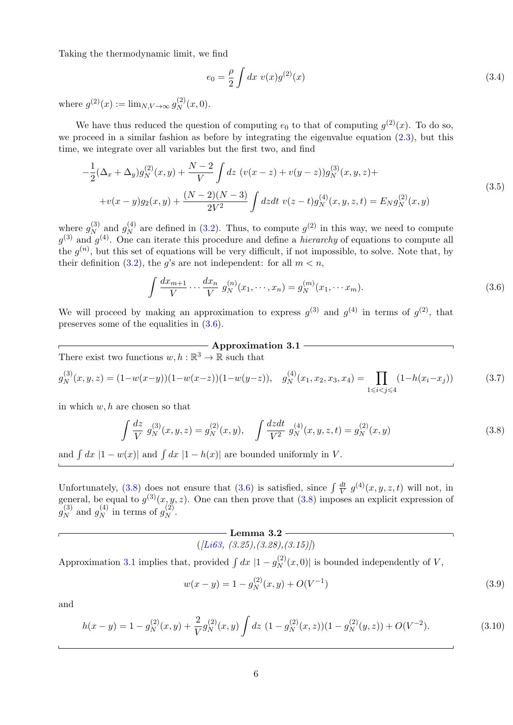Taking the thermodynamic limit, we find

<span id="page-6-5"></span><span id="page-6-3"></span>
$$
e_0 = \frac{\rho}{2} \int dx \ v(x) g^{(2)}(x) \tag{3.4}
$$

where  $g^{(2)}(x) := \lim_{N, V \to \infty} g_N^{(2)}$  $N^{(2)}(x,0).$ 

We have thus reduced the question of computing  $e_0$  to that of computing  $g^{(2)}(x)$ . To do so, we proceed in a similar fashion as before by integrating the eigenvalue equation  $(2.3)$ , but this time, we integrate over all variables but the first two, and find

$$
-\frac{1}{2}(\Delta_x + \Delta_y)g_N^{(2)}(x, y) + \frac{N-2}{V} \int dz \ (v(x-z) + v(y-z))g_N^{(3)}(x, y, z) ++v(x-y)g_2(x, y) + \frac{(N-2)(N-3)}{2V^2} \int dz dt \ v(z-t)g_N^{(4)}(x, y, z, t) = E_N g_N^{(2)}(x, y)
$$
\n(3.5)

where  $g_N^{(3)}$  $\frac{(3)}{N}$  and  $g_N^{(4)}$  $_N^{(4)}$  are defined in [\(3.2\)](#page-5-3). Thus, to compute  $g^{(2)}$  in this way, we need to compute  $g^{(3)}$  and  $g^{(4)}$ . One can iterate this procedure and define a *hierarchy* of equations to compute all the  $g^{(n)}$ , but this set of equations will be very difficult, if not impossible, to solve. Note that, by their definition [\(3.2\)](#page-5-3), the g's are not independent: for all  $m < n$ ,

$$
\int \frac{dx_{m+1}}{V} \cdots \frac{dx_n}{V} g_N^{(n)}(x_1, \cdots, x_n) = g_N^{(m)}(x_1, \cdots, x_m). \tag{3.6}
$$

We will proceed by making an approximation to express  $g^{(3)}$  and  $g^{(4)}$  in terms of  $g^{(2)}$ , that preserves some of the equalities in [\(3.6\)](#page-6-0).

## <span id="page-6-4"></span><span id="page-6-1"></span><span id="page-6-0"></span> $-$  Approximation 3.1  $-$

There exist two functions  $w, h : \mathbb{R}^3 \to \mathbb{R}$  such that

$$
g_N^{(3)}(x,y,z) = (1 - w(x-y))(1 - w(x-z))(1 - w(y-z)), \quad g_N^{(4)}(x_1, x_2, x_3, x_4) = \prod_{1 \le i < j \le 4} (1 - h(x_i - x_j)) \tag{3.7}
$$

in which  $w, h$  are chosen so that

$$
\int \frac{dz}{V} g_N^{(3)}(x, y, z) = g_N^{(2)}(x, y), \quad \int \frac{dzdt}{V^2} g_N^{(4)}(x, y, z, t) = g_N^{(2)}(x, y)
$$
\n(3.8)

and  $\int dx$  |1 –  $w(x)$ | and  $\int dx$  |1 –  $h(x)$ | are bounded uniformly in V.

Unfortunately, [\(3.8\)](#page-6-1) does not ensure that [\(3.6\)](#page-6-0) is satisfied, since  $\int \frac{dt}{V}$  $\frac{dt}{V} g^{(4)}(x, y, z, t)$  will not, in general, be equal to  $g^{(3)}(x, y, z)$ . One can then prove that  $(3.8)$  imposes an explicit expression of  $g_N^{(3)}$  $\frac{(3)}{N}$  and  $g_N^{(4)}$  $\binom{4}{N}$  in terms of  $g_N^{(2)}$  $\stackrel{(2)}{N}$ .

## —— Lemma 3.2 ——

$$
([Li63, (3.25), (3.28), (3.15)])
$$

Approximation [3.1](#page-6-0) implies that, provided  $\int dx |1 - g_N^{(2)}|$  $N^{(2)}(x,0)$  is bounded independently of V,

$$
w(x - y) = 1 - g_N^{(2)}(x, y) + O(V^{-1})
$$
\n(3.9)

and

<span id="page-6-2"></span>
$$
h(x - y) = 1 - g_N^{(2)}(x, y) + \frac{2}{V} g_N^{(2)}(x, y) \int dz \ (1 - g_N^{(2)}(x, z))(1 - g_N^{(2)}(y, z)) + O(V^{-2}). \tag{3.10}
$$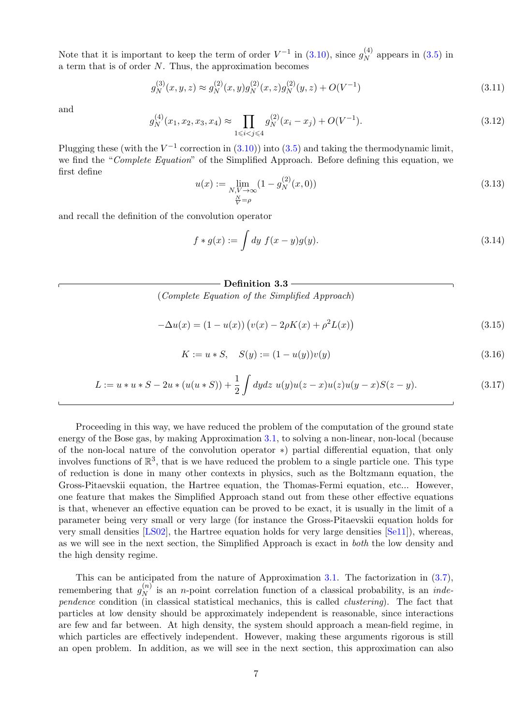Note that it is important to keep the term of order  $V^{-1}$  in  $(3.10)$ , since  $g_N^{(4)}$  $N_N^{(4)}$  appears in  $(3.5)$  in a term that is of order N. Thus, the approximation becomes

$$
g_N^{(3)}(x, y, z) \approx g_N^{(2)}(x, y)g_N^{(2)}(x, z)g_N^{(2)}(y, z) + O(V^{-1})
$$
\n(3.11)

and

$$
g_N^{(4)}(x_1, x_2, x_3, x_4) \approx \prod_{1 \le i < j \le 4} g_N^{(2)}(x_i - x_j) + O(V^{-1}).\tag{3.12}
$$

<span id="page-7-2"></span>Plugging these (with the  $V^{-1}$  correction in [\(3.10\)](#page-6-2)) into [\(3.5\)](#page-6-3) and taking the thermodynamic limit, we find the "Complete Equation" of the Simplified Approach. Before defining this equation, we first define

$$
u(x) := \lim_{\substack{N, V \to \infty \\ \frac{N}{V} = \rho}} (1 - g_N^{(2)}(x, 0))
$$
\n(3.13)

and recall the definition of the convolution operator

<span id="page-7-0"></span>
$$
f * g(x) := \int dy f(x - y)g(y).
$$
 (3.14)

#### $\,$  - Definition 3.3  $-$

(Complete Equation of the Simplified Approach)

$$
-\Delta u(x) = (1 - u(x)) \left( v(x) - 2\rho K(x) + \rho^2 L(x) \right)
$$
\n(3.15)

$$
K := u * S, \quad S(y) := (1 - u(y))v(y)
$$
\n(3.16)

<span id="page-7-3"></span><span id="page-7-1"></span>
$$
L := u * u * S - 2u * (u(u * S)) + \frac{1}{2} \int dy dz \ u(y)u(z - x)u(z)u(y - x)S(z - y).
$$
 (3.17)

Proceeding in this way, we have reduced the problem of the computation of the ground state energy of the Bose gas, by making Approximation [3.1,](#page-6-0) to solving a non-linear, non-local (because of the non-local nature of the convolution operator ∗) partial differential equation, that only involves functions of  $\mathbb{R}^3$ , that is we have reduced the problem to a single particle one. This type of reduction is done in many other contexts in physics, such as the Boltzmann equation, the Gross-Pitaevskii equation, the Hartree equation, the Thomas-Fermi equation, etc... However, one feature that makes the Simplified Approach stand out from these other effective equations is that, whenever an effective equation can be proved to be exact, it is usually in the limit of a parameter being very small or very large (for instance the Gross-Pitaevskii equation holds for very small densities [\[LS02\]](#page-22-5), the Hartree equation holds for very large densities [\[Se11\]](#page-22-6)), whereas, as we will see in the next section, the Simplified Approach is exact in both the low density and the high density regime.

This can be anticipated from the nature of Approximation [3.1.](#page-6-0) The factorization in [\(3.7\)](#page-6-4), remembering that  $g_N^{(n)}$  $N<sup>(n)</sup>$  is an *n*-point correlation function of a classical probability, is an *inde*pendence condition (in classical statistical mechanics, this is called clustering). The fact that particles at low density should be approximately independent is reasonable, since interactions are few and far between. At high density, the system should approach a mean-field regime, in which particles are effectively independent. However, making these arguments rigorous is still an open problem. In addition, as we will see in the next section, this approximation can also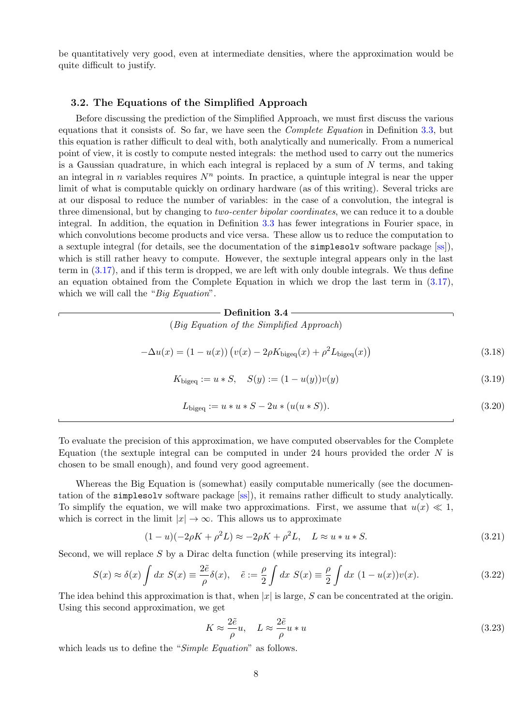be quantitatively very good, even at intermediate densities, where the approximation would be quite difficult to justify.

## <span id="page-8-0"></span>3.2. The Equations of the Simplified Approach

Before discussing the prediction of the Simplified Approach, we must first discuss the various equations that it consists of. So far, we have seen the *Complete Equation* in Definition [3.3,](#page-7-0) but this equation is rather difficult to deal with, both analytically and numerically. From a numerical point of view, it is costly to compute nested integrals: the method used to carry out the numerics is a Gaussian quadrature, in which each integral is replaced by a sum of  $N$  terms, and taking an integral in n variables requires  $N<sup>n</sup>$  points. In practice, a quintuple integral is near the upper limit of what is computable quickly on ordinary hardware (as of this writing). Several tricks are at our disposal to reduce the number of variables: in the case of a convolution, the integral is three dimensional, but by changing to *two-center bipolar coordinates*, we can reduce it to a double integral. In addition, the equation in Definition [3.3](#page-7-0) has fewer integrations in Fourier space, in which convolutions become products and vice versa. These allow us to reduce the computation to a sextuple integral (for details, see the documentation of the simplesolv software package [\[ss\]](#page-22-8)), which is still rather heavy to compute. However, the sextuple integral appears only in the last term in [\(3.17\)](#page-7-1), and if this term is dropped, we are left with only double integrals. We thus define an equation obtained from the Complete Equation in which we drop the last term in [\(3.17\)](#page-7-1), which we will call the "Big Equation".

# Definition 3.4

(Big Equation of the Simplified Approach)

$$
-\Delta u(x) = (1 - u(x)) \left( v(x) - 2\rho K_{\text{bigeq}}(x) + \rho^2 L_{\text{bigeq}}(x) \right)
$$
\n(3.18)

$$
K_{\text{bigeq}} := u * S, \quad S(y) := (1 - u(y))v(y)
$$
\n(3.19)

$$
L_{\text{bigeq}} := u * u * S - 2u * (u(u * S)). \tag{3.20}
$$

To evaluate the precision of this approximation, we have computed observables for the Complete Equation (the sextuple integral can be computed in under 24 hours provided the order  $N$  is chosen to be small enough), and found very good agreement.

Whereas the Big Equation is (somewhat) easily computable numerically (see the documentation of the simplesolv software package [\[ss\]](#page-22-8)), it remains rather difficult to study analytically. To simplify the equation, we will make two approximations. First, we assume that  $u(x) \ll 1$ , which is correct in the limit  $|x| \to \infty$ . This allows us to approximate

$$
(1 - u)(-2\rho K + \rho^2 L) \approx -2\rho K + \rho^2 L, \quad L \approx u * u * S.
$$
\n(3.21)

Second, we will replace  $S$  by a Dirac delta function (while preserving its integral):

$$
S(x) \approx \delta(x) \int dx \ S(x) \equiv \frac{2\tilde{e}}{\rho} \delta(x), \quad \tilde{e} := \frac{\rho}{2} \int dx \ S(x) \equiv \frac{\rho}{2} \int dx \ (1 - u(x))v(x). \tag{3.22}
$$

The idea behind this approximation is that, when  $|x|$  is large, S can be concentrated at the origin. Using this second approximation, we get

<span id="page-8-2"></span><span id="page-8-1"></span>
$$
K \approx \frac{2\tilde{e}}{\rho}u, \quad L \approx \frac{2\tilde{e}}{\rho}u * u
$$
\n(3.23)

which leads us to define the "Simple Equation" as follows.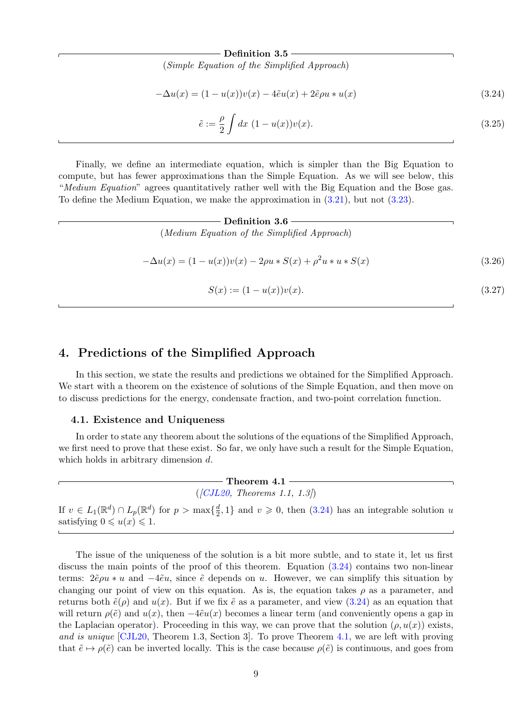#### Definition 3.5

(Simple Equation of the Simplified Approach)

$$
-\Delta u(x) = (1 - u(x))v(x) - 4\tilde{e}u(x) + 2\tilde{e}\rho u * u(x)
$$
\n(3.24)

$$
\tilde{e} := \frac{\rho}{2} \int dx \ (1 - u(x))v(x). \tag{3.25}
$$

<span id="page-9-2"></span>Finally, we define an intermediate equation, which is simpler than the Big Equation to compute, but has fewer approximations than the Simple Equation. As we will see below, this "Medium Equation" agrees quantitatively rather well with the Big Equation and the Bose gas. To define the Medium Equation, we make the approximation in [\(3.21\)](#page-8-1), but not [\(3.23\)](#page-8-2).

**Definition 3.6**  
\n(*Median Equation of the Simplified Approach*)  
\n
$$
-\Delta u(x) = (1 - u(x))v(x) - 2\rho u * S(x) + \rho^2 u * u * S(x)
$$
\n
$$
S(x) := (1 - u(x))v(x).
$$
\n(3.27)

## <span id="page-9-0"></span>4. Predictions of the Simplified Approach

In this section, we state the results and predictions we obtained for the Simplified Approach. We start with a theorem on the existence of solutions of the Simple Equation, and then move on to discuss predictions for the energy, condensate fraction, and two-point correlation function.

#### <span id="page-9-1"></span>4.1. Existence and Uniqueness

In order to state any theorem about the solutions of the equations of the Simplified Approach, we first need to prove that these exist. So far, we only have such a result for the Simple Equation, which holds in arbitrary dimension d.

> $-$  Theorem  $4.1 ([CJL20, Theorems 1.1, 1.3])$  $([CJL20, Theorems 1.1, 1.3])$  $([CJL20, Theorems 1.1, 1.3])$

If  $v \in L_1(\mathbb{R}^d) \cap L_p(\mathbb{R}^d)$  for  $p > \max\{\frac{d}{2}\}$  $\frac{d}{2}$ , 1} and  $v \ge 0$ , then [\(3.24\)](#page-9-2) has an integrable solution u satisfying  $0 \leq u(x) \leq 1$ .

The issue of the uniqueness of the solution is a bit more subtle, and to state it, let us first discuss the main points of the proof of this theorem. Equation [\(3.24\)](#page-9-2) contains two non-linear terms:  $2\tilde{e}\rho u * u$  and  $-4\tilde{e}u$ , since  $\tilde{e}$  depends on u. However, we can simplify this situation by changing our point of view on this equation. As is, the equation takes  $\rho$  as a parameter, and returns both  $\tilde{e}(\rho)$  and  $u(x)$ . But if we fix  $\tilde{e}$  as a parameter, and view [\(3.24\)](#page-9-2) as an equation that will return  $\rho(\tilde{e})$  and  $u(x)$ , then  $-4\tilde{e}u(x)$  becomes a linear term (and conveniently opens a gap in the Laplacian operator). Proceeding in this way, we can prove that the solution  $(\rho, u(x))$  exists, and is unique [\[CJL20,](#page-21-10) Theorem 1.3, Section 3]. To prove Theorem [4.1,](#page-9-1) we are left with proving that  $\tilde{e} \mapsto \rho(\tilde{e})$  can be inverted locally. This is the case because  $\rho(\tilde{e})$  is continuous, and goes from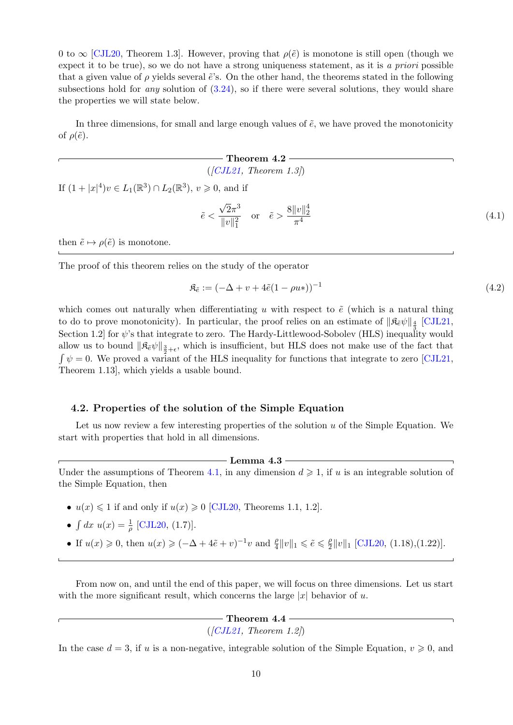0 to  $\infty$  [\[CJL20,](#page-21-10) Theorem 1.3]. However, proving that  $\rho(\tilde{e})$  is monotone is still open (though we expect it to be true), so we do not have a strong uniqueness statement, as it is a priori possible that a given value of  $\rho$  yields several  $\tilde{e}$ 's. On the other hand, the theorems stated in the following subsections hold for *any* solution of  $(3.24)$ , so if there were several solutions, they would share the properties we will state below.

In three dimensions, for small and large enough values of  $\tilde{e}$ , we have proved the monotonicity of  $\rho(\tilde{e})$ .

## - Theorem 4.2 - $([CJL21, Theorem 1.3])$  $([CJL21, Theorem 1.3])$  $([CJL21, Theorem 1.3])$

If  $(1+|x|^4)v \in L_1(\mathbb{R}^3) \cap L_2(\mathbb{R}^3)$ ,  $v \ge 0$ , and if

$$
\tilde{e} < \frac{\sqrt{2}\pi^3}{\|v\|_1^2}
$$
 or  $\tilde{e} > \frac{8\|v\|_2^4}{\pi^4}$ \n(4.1)

then  $\tilde{e} \mapsto \rho(\tilde{e})$  is monotone.

The proof of this theorem relies on the study of the operator

<span id="page-10-1"></span>
$$
\mathfrak{K}_{\tilde{e}} := (-\Delta + v + 4\tilde{e}(1 - \rho u_*))^{-1}
$$
\n(4.2)

which comes out naturally when differentiating u with respect to  $\tilde{e}$  (which is a natural thing to do to prove monotonicity). In particular, the proof relies on an estimate of  $\|\mathfrak{K}_{\tilde{e}}\psi\|_{\frac{4}{3}}$  [\[CJL21,](#page-21-11) Section 1.2] for  $\psi$ 's that integrate to zero. The Hardy-Littlewood-Sobolev (HLS) inequality would allow us to bound  $\|\mathfrak{K}_{\tilde{e}}\psi\|_{\frac{3}{2}+\epsilon}$ , which is insufficient, but HLS does not make use of the fact that  $\int \psi = 0$ . We proved a variant of the HLS inequality for functions that integrate to zero [\[CJL21,](#page-21-11) Theorem 1.13], which yields a usable bound.

## <span id="page-10-0"></span>4.2. Properties of the solution of the Simple Equation

Let us now review a few interesting properties of the solution  $u$  of the Simple Equation. We start with properties that hold in all dimensions.

## $-$  Lemma 4.3  $\overline{\phantom{a}}$

Under the assumptions of Theorem [4.1,](#page-9-1) in any dimension  $d \geq 1$ , if u is an integrable solution of the Simple Equation, then

- $u(x) \leq 1$  if and only if  $u(x) \geq 0$  [\[CJL20,](#page-21-10) Theorems 1.1, 1.2].
- $\int dx u(x) = \frac{1}{\rho}$  [\[CJL20,](#page-21-10) (1.7)].
- If  $u(x) \geq 0$ , then  $u(x) \geq (-\Delta + 4\tilde{e} + v)^{-1}v$  and  $\frac{\rho}{4} ||v||_1 \leq \tilde{e} \leq \frac{\rho}{2}$  $\frac{\rho}{2}||v||_1$  [\[CJL20,](#page-21-10) (1.18),(1.22)].

From now on, and until the end of this paper, we will focus on three dimensions. Let us start with the more significant result, which concerns the large  $|x|$  behavior of u.

# $-$  Theorem 4.4  $-$

 $(|CJL21, Theorem 1.2|)$ 

In the case  $d = 3$ , if u is a non-negative, integrable solution of the Simple Equation,  $v \ge 0$ , and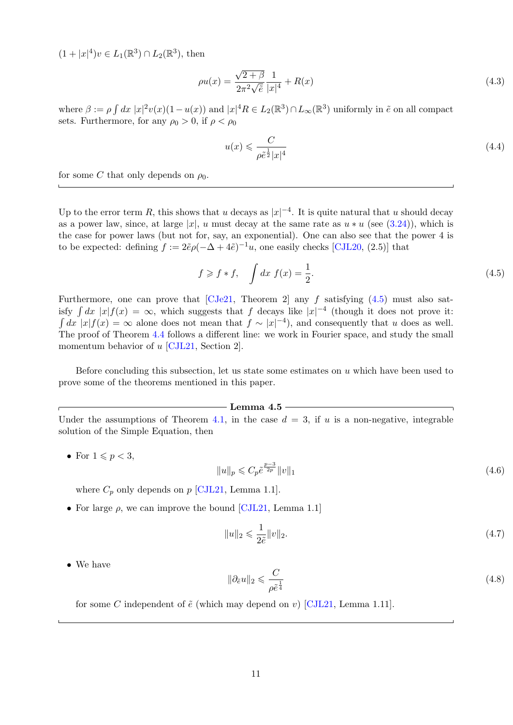$(1+|x|^4)v \in L_1(\mathbb{R}^3) \cap L_2(\mathbb{R}^3)$ , then

$$
\rho u(x) = \frac{\sqrt{2+\beta}}{2\pi^2\sqrt{\tilde{e}}} \frac{1}{|x|^4} + R(x)
$$
\n(4.3)

where  $\beta := \rho \int dx \, |x|^2 v(x) (1 - u(x))$  and  $|x|^4 R \in L_2(\mathbb{R}^3) \cap L_\infty(\mathbb{R}^3)$  uniformly in  $\tilde{e}$  on all compact sets. Furthermore, for any  $\rho_0 > 0$ , if  $\rho < \rho_0$ 

$$
u(x) \leqslant \frac{C}{\rho \tilde{e}^{\frac{1}{2}}|x|^4} \tag{4.4}
$$

for some C that only depends on  $\rho_0$ .

Up to the error term R, this shows that u decays as  $|x|^{-4}$ . It is quite natural that u should decay as a power law, since, at large |x|, u must decay at the same rate as  $u * u$  (see [\(3.24\)](#page-9-2)), which is the case for power laws (but not for, say, an exponential). One can also see that the power 4 is to be expected: defining  $f := 2\tilde{e}\rho(-\Delta + 4\tilde{e})^{-1}u$ , one easily checks [\[CJL20,](#page-21-10) (2.5)] that

<span id="page-11-0"></span>
$$
f \geqslant f * f, \quad \int dx \ f(x) = \frac{1}{2}.
$$
\n
$$
(4.5)
$$

Furthermore, one can prove that [\[CJe21,](#page-21-12) Theorem 2] any f satisfying  $(4.5)$  must also satisfy  $\int dx |x| f(x) = \infty$ , which suggests that f decays like  $|x|^{-4}$  (though it does not prove it:  $\int dx |x| f(x) = \infty$  alone does not mean that  $f \sim |x|^{-4}$ , and consequently that u does as well. The proof of Theorem [4.4](#page-10-0) follows a different line: we work in Fourier space, and study the small momentum behavior of u [\[CJL21,](#page-21-11) Section 2].

Before concluding this subsection, let us state some estimates on  $u$  which have been used to prove some of the theorems mentioned in this paper.

#### —— Lemma 4.5 —

Under the assumptions of Theorem [4.1,](#page-9-1) in the case  $d = 3$ , if u is a non-negative, integrable solution of the Simple Equation, then

• For  $1 \leqslant p < 3$ ,

$$
||u||_p \leqslant C_p \tilde{e}^{\frac{p-3}{2p}} ||v||_1 \tag{4.6}
$$

where  $C_p$  only depends on  $p$  [\[CJL21,](#page-21-11) Lemma 1.1].

• For large  $\rho$ , we can improve the bound [\[CJL21,](#page-21-11) Lemma 1.1]

$$
||u||_2 \leqslant \frac{1}{2\tilde{e}}||v||_2. \tag{4.7}
$$

• We have

$$
\|\partial_{\tilde{e}}u\|_2 \leqslant \frac{C}{\rho \tilde{e}^{\frac{1}{4}}}
$$
\n
$$
(4.8)
$$

for some C independent of  $\tilde{e}$  (which may depend on v) [\[CJL21,](#page-21-11) Lemma 1.11].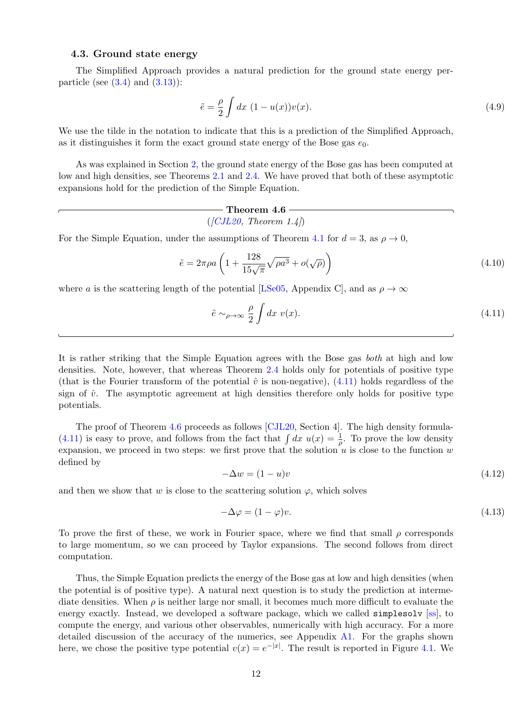## <span id="page-12-0"></span>4.3. Ground state energy

The Simplified Approach provides a natural prediction for the ground state energy perparticle (see  $(3.4)$  and  $(3.13)$ ):

<span id="page-12-2"></span>
$$
\tilde{e} = \frac{\rho}{2} \int dx \ (1 - u(x)) v(x). \tag{4.9}
$$

We use the tilde in the notation to indicate that this is a prediction of the Simplified Approach, as it distinguishes it form the exact ground state energy of the Bose gas  $e_0$ .

As was explained in Section [2,](#page-2-0) the ground state energy of the Bose gas has been computed at low and high densities, see Theorems [2.1](#page-3-0) and [2.4.](#page-4-0) We have proved that both of these asymptotic expansions hold for the prediction of the Simple Equation.

$$
\begin{array}{c} \mathbf{- Theorem\ 4.6} \\ ( [CJL20, \ Theorem\ 1.4] ) \end{array}
$$

For the Simple Equation, under the assumptions of Theorem [4.1](#page-9-1) for  $d = 3$ , as  $\rho \rightarrow 0$ ,

$$
\tilde{e} = 2\pi \rho a \left( 1 + \frac{128}{15\sqrt{\pi}} \sqrt{\rho a^3} + o(\sqrt{\rho}) \right) \tag{4.10}
$$

where a is the scattering length of the potential [\[LSe05,](#page-22-3) Appendix C], and as  $\rho \to \infty$ 

<span id="page-12-1"></span>
$$
\tilde{e} \sim_{\rho \to \infty} \frac{\rho}{2} \int dx \ v(x). \tag{4.11}
$$

It is rather striking that the Simple Equation agrees with the Bose gas both at high and low densities. Note, however, that whereas Theorem [2.4](#page-4-0) holds only for potentials of positive type (that is the Fourier transform of the potential  $\hat{v}$  is non-negative), [\(4.11\)](#page-12-1) holds regardless of the sign of  $\hat{v}$ . The asymptotic agreement at high densities therefore only holds for positive type potentials.

The proof of Theorem [4.6](#page-12-2) proceeds as follows [\[CJL20,](#page-21-10) Section 4]. The high density formula-[\(4.11\)](#page-12-1) is easy to prove, and follows from the fact that  $\int dx u(x) = \frac{1}{\rho}$ . To prove the low density expansion, we proceed in two steps: we first prove that the solution  $u$  is close to the function  $w$ defined by

$$
-\Delta w = (1 - u)v \tag{4.12}
$$

and then we show that w is close to the scattering solution  $\varphi$ , which solves

$$
-\Delta \varphi = (1 - \varphi)v.\tag{4.13}
$$

To prove the first of these, we work in Fourier space, where we find that small  $\rho$  corresponds to large momentum, so we can proceed by Taylor expansions. The second follows from direct computation.

Thus, the Simple Equation predicts the energy of the Bose gas at low and high densities (when the potential is of positive type). A natural next question is to study the prediction at intermediate densities. When  $\rho$  is neither large nor small, it becomes much more difficult to evaluate the energy exactly. Instead, we developed a software package, which we called **simpless** out [\[ss\]](#page-22-8), to compute the energy, and various other observables, numerically with high accuracy. For a more detailed discussion of the accuracy of the numerics, see Appendix [A1.](#page-18-0) For the graphs shown here, we chose the positive type potential  $v(x) = e^{-|x|}$ . The result is reported in Figure [4.1.](#page-13-1) We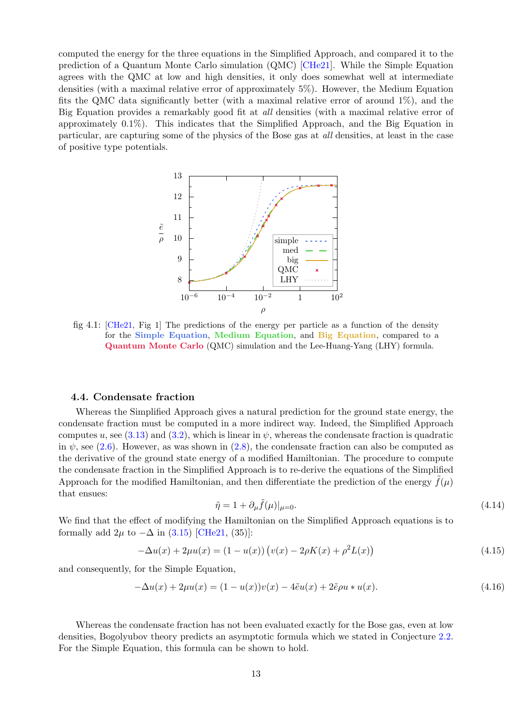computed the energy for the three equations in the Simplified Approach, and compared it to the prediction of a Quantum Monte Carlo simulation (QMC) [\[CHe21\]](#page-21-13). While the Simple Equation agrees with the QMC at low and high densities, it only does somewhat well at intermediate densities (with a maximal relative error of approximately 5%). However, the Medium Equation fits the QMC data significantly better (with a maximal relative error of around  $1\%$ ), and the Big Equation provides a remarkably good fit at *all* densities (with a maximal relative error of approximately 0.1%). This indicates that the Simplified Approach, and the Big Equation in particular, are capturing some of the physics of the Bose gas at all densities, at least in the case of positive type potentials.



<span id="page-13-1"></span>fig 4.1: [\[CHe21,](#page-21-13) Fig 1] The predictions of the energy per particle as a function of the density for the Simple Equation, Medium Equation, and Big Equation, compared to a Quantum Monte Carlo (QMC) simulation and the Lee-Huang-Yang (LHY) formula.

## <span id="page-13-0"></span>4.4. Condensate fraction

Whereas the Simplified Approach gives a natural prediction for the ground state energy, the condensate fraction must be computed in a more indirect way. Indeed, the Simplified Approach computes u, see [\(3.13\)](#page-7-2) and [\(3.2\)](#page-5-3), which is linear in  $\psi$ , whereas the condensate fraction is quadratic in  $\psi$ , see [\(2.6\)](#page-2-4). However, as was shown in [\(2.8\)](#page-3-2), the condensate fraction can also be computed as the derivative of the ground state energy of a modified Hamiltonian. The procedure to compute the condensate fraction in the Simplified Approach is to re-derive the equations of the Simplified Approach for the modified Hamiltonian, and then differentiate the prediction of the energy  $f(\mu)$ that ensues:

<span id="page-13-2"></span>
$$
\tilde{\eta} = 1 + \partial_{\mu} \tilde{f}(\mu)|_{\mu=0}.\tag{4.14}
$$

We find that the effect of modifying the Hamiltonian on the Simplified Approach equations is to formally add  $2\mu$  to  $-\Delta$  in [\(3.15\)](#page-7-3) [\[CHe21,](#page-21-13) (35)]:

$$
-\Delta u(x) + 2\mu u(x) = (1 - u(x)) \left( v(x) - 2\rho K(x) + \rho^2 L(x) \right)
$$
\n(4.15)

and consequently, for the Simple Equation,

$$
-\Delta u(x) + 2\mu u(x) = (1 - u(x))v(x) - 4\tilde{e}u(x) + 2\tilde{e}\rho u * u(x).
$$
\n(4.16)

Whereas the condensate fraction has not been evaluated exactly for the Bose gas, even at low densities, Bogolyubov theory predicts an asymptotic formula which we stated in Conjecture [2.2.](#page-3-1) For the Simple Equation, this formula can be shown to hold.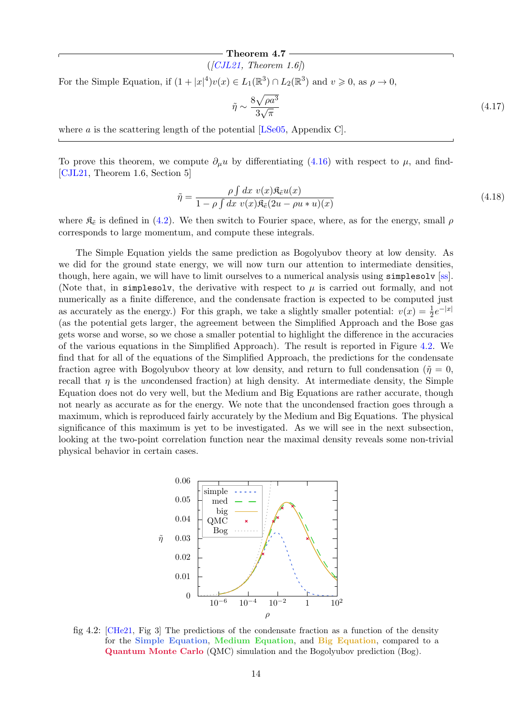## Theorem 4.7 -

 $([CJL21, Theorem 1.6])$  $([CJL21, Theorem 1.6])$  $([CJL21, Theorem 1.6])$ 

For the Simple Equation, if  $(1+|x|^4)v(x) \in L_1(\mathbb{R}^3) \cap L_2(\mathbb{R}^3)$  and  $v \geq 0$ , as  $\rho \to 0$ ,

$$
\tilde{\eta} \sim \frac{8\sqrt{\rho a^3}}{3\sqrt{\pi}}\tag{4.17}
$$

where a is the scattering length of the potential [\[LSe05,](#page-22-3) Appendix C].

To prove this theorem, we compute  $\partial_{\mu}u$  by differentiating [\(4.16\)](#page-13-2) with respect to  $\mu$ , and find-[\[CJL21,](#page-21-11) Theorem 1.6, Section 5]

$$
\tilde{\eta} = \frac{\rho \int dx \ v(x) \mathfrak{K}_{\tilde{e}} u(x)}{1 - \rho \int dx \ v(x) \mathfrak{K}_{\tilde{e}} (2u - \rho u * u)(x)}
$$
(4.18)

where  $\mathfrak{K}_{\tilde{e}}$  is defined in [\(4.2\)](#page-10-1). We then switch to Fourier space, where, as for the energy, small  $\rho$ corresponds to large momentum, and compute these integrals.

The Simple Equation yields the same prediction as Bogolyubov theory at low density. As we did for the ground state energy, we will now turn our attention to intermediate densities, though, here again, we will have to limit ourselves to a numerical analysis using simplesolv [\[ss\]](#page-22-8). (Note that, in simpless lv, the derivative with respect to  $\mu$  is carried out formally, and not numerically as a finite difference, and the condensate fraction is expected to be computed just as accurately as the energy.) For this graph, we take a slightly smaller potential:  $v(x) = \frac{1}{2}e^{-|x|}$ (as the potential gets larger, the agreement between the Simplified Approach and the Bose gas gets worse and worse, so we chose a smaller potential to highlight the difference in the accuracies of the various equations in the Simplified Approach). The result is reported in Figure [4.2.](#page-14-0) We find that for all of the equations of the Simplified Approach, the predictions for the condensate fraction agree with Bogolyubov theory at low density, and return to full condensation ( $\tilde{\eta} = 0$ , recall that  $\eta$  is the uncondensed fraction) at high density. At intermediate density, the Simple Equation does not do very well, but the Medium and Big Equations are rather accurate, though not nearly as accurate as for the energy. We note that the uncondensed fraction goes through a maximum, which is reproduced fairly accurately by the Medium and Big Equations. The physical significance of this maximum is yet to be investigated. As we will see in the next subsection, looking at the two-point correlation function near the maximal density reveals some non-trivial physical behavior in certain cases.



<span id="page-14-0"></span>fig 4.2: [\[CHe21,](#page-21-13) Fig 3] The predictions of the condensate fraction as a function of the density for the Simple Equation, Medium Equation, and Big Equation, compared to a Quantum Monte Carlo (QMC) simulation and the Bogolyubov prediction (Bog).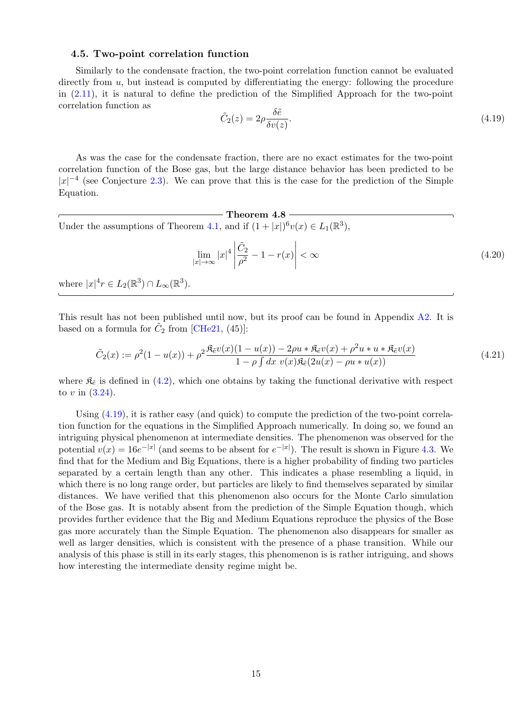#### <span id="page-15-0"></span>4.5. Two-point correlation function

Similarly to the condensate fraction, the two-point correlation function cannot be evaluated directly from  $u$ , but instead is computed by differentiating the energy: following the procedure in [\(2.11\)](#page-3-3), it is natural to define the prediction of the Simplified Approach for the two-point correlation function as

<span id="page-15-1"></span>
$$
\tilde{C}_2(z) = 2\rho \frac{\delta \tilde{e}}{\delta v(z)}.
$$
\n(4.19)

As was the case for the condensate fraction, there are no exact estimates for the two-point correlation function of the Bose gas, but the large distance behavior has been predicted to be  $|x|^{-4}$  (see Conjecture [2.3\)](#page-4-1). We can prove that this is the case for the prediction of the Simple Equation.

 $-$  Theorem 4.8  $-$ Under the assumptions of Theorem [4.1,](#page-9-1) and if  $(1+|x|)^6 v(x) \in L_1(\mathbb{R}^3)$ ,

$$
\lim_{|x| \to \infty} |x|^4 \left| \frac{\tilde{C}_2}{\rho^2} - 1 - r(x) \right| < \infty \tag{4.20}
$$

where  $|x|^4 r \in L_2(\mathbb{R}^3) \cap L_\infty(\mathbb{R}^3)$ .

This result has not been published until now, but its proof can be found in Appendix [A2.](#page-19-0) It is based on a formula for  $\tilde{C}_2$  from [\[CHe21,](#page-21-13) (45)]:

$$
\tilde{C}_2(x) := \rho^2 (1 - u(x)) + \rho^2 \frac{\mathfrak{K}_{\tilde{e}} v(x)(1 - u(x)) - 2\rho u * \mathfrak{K}_{\tilde{e}} v(x) + \rho^2 u * u * \mathfrak{K}_{\tilde{e}} v(x)}{1 - \rho \int dx \ v(x) \mathfrak{K}_{\tilde{e}} (2u(x) - \rho u * u(x))}
$$
\n(4.21)

where  $\mathfrak{K}_{\tilde{e}}$  is defined in [\(4.2\)](#page-10-1), which one obtains by taking the functional derivative with respect to v in  $(3.24)$ .

Using [\(4.19\)](#page-15-1), it is rather easy (and quick) to compute the prediction of the two-point correlation function for the equations in the Simplified Approach numerically. In doing so, we found an intriguing physical phenomenon at intermediate densities. The phenomenon was observed for the potential  $v(x) = 16e^{-|x|}$  (and seems to be absent for  $e^{-|x|}$ ). The result is shown in Figure [4.3.](#page-16-2) We find that for the Medium and Big Equations, there is a higher probability of finding two particles separated by a certain length than any other. This indicates a phase resembling a liquid, in which there is no long range order, but particles are likely to find themselves separated by similar distances. We have verified that this phenomenon also occurs for the Monte Carlo simulation of the Bose gas. It is notably absent from the prediction of the Simple Equation though, which provides further evidence that the Big and Medium Equations reproduce the physics of the Bose gas more accurately than the Simple Equation. The phenomenon also disappears for smaller as well as larger densities, which is consistent with the presence of a phase transition. While our analysis of this phase is still in its early stages, this phenomenon is is rather intriguing, and shows how interesting the intermediate density regime might be.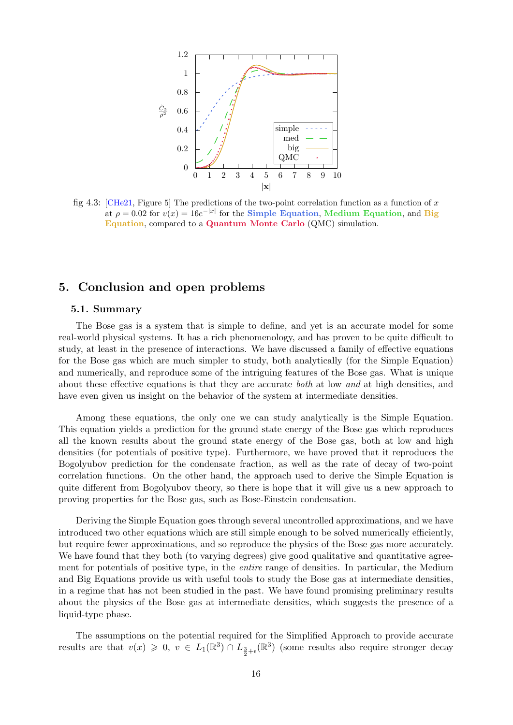

<span id="page-16-2"></span>fig 4.3: [\[CHe21,](#page-21-13) Figure 5] The predictions of the two-point correlation function as a function of x at  $\rho = 0.02$  for  $v(x) = 16e^{-|x|}$  for the Simple Equation, Medium Equation, and Big Equation, compared to a Quantum Monte Carlo (QMC) simulation.

## <span id="page-16-0"></span>5. Conclusion and open problems

## <span id="page-16-1"></span>5.1. Summary

The Bose gas is a system that is simple to define, and yet is an accurate model for some real-world physical systems. It has a rich phenomenology, and has proven to be quite difficult to study, at least in the presence of interactions. We have discussed a family of effective equations for the Bose gas which are much simpler to study, both analytically (for the Simple Equation) and numerically, and reproduce some of the intriguing features of the Bose gas. What is unique about these effective equations is that they are accurate both at low and at high densities, and have even given us insight on the behavior of the system at intermediate densities.

Among these equations, the only one we can study analytically is the Simple Equation. This equation yields a prediction for the ground state energy of the Bose gas which reproduces all the known results about the ground state energy of the Bose gas, both at low and high densities (for potentials of positive type). Furthermore, we have proved that it reproduces the Bogolyubov prediction for the condensate fraction, as well as the rate of decay of two-point correlation functions. On the other hand, the approach used to derive the Simple Equation is quite different from Bogolyubov theory, so there is hope that it will give us a new approach to proving properties for the Bose gas, such as Bose-Einstein condensation.

Deriving the Simple Equation goes through several uncontrolled approximations, and we have introduced two other equations which are still simple enough to be solved numerically efficiently, but require fewer approximations, and so reproduce the physics of the Bose gas more accurately. We have found that they both (to varying degrees) give good qualitative and quantitative agreement for potentials of positive type, in the entire range of densities. In particular, the Medium and Big Equations provide us with useful tools to study the Bose gas at intermediate densities, in a regime that has not been studied in the past. We have found promising preliminary results about the physics of the Bose gas at intermediate densities, which suggests the presence of a liquid-type phase.

The assumptions on the potential required for the Simplified Approach to provide accurate results are that  $v(x) \geq 0, v \in L_1(\mathbb{R}^3) \cap L_{\frac{3}{2}+\epsilon}(\mathbb{R}^3)$  (some results also require stronger decay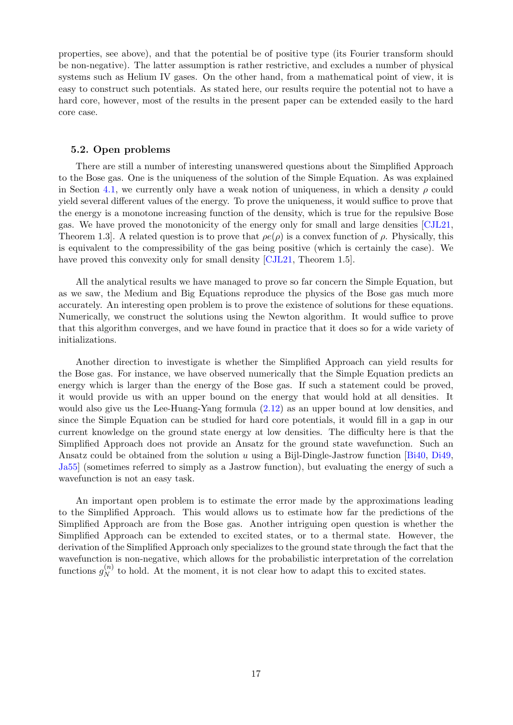properties, see above), and that the potential be of positive type (its Fourier transform should be non-negative). The latter assumption is rather restrictive, and excludes a number of physical systems such as Helium IV gases. On the other hand, from a mathematical point of view, it is easy to construct such potentials. As stated here, our results require the potential not to have a hard core, however, most of the results in the present paper can be extended easily to the hard core case.

#### <span id="page-17-0"></span>5.2. Open problems

There are still a number of interesting unanswered questions about the Simplified Approach to the Bose gas. One is the uniqueness of the solution of the Simple Equation. As was explained in Section [4.1,](#page-9-1) we currently only have a weak notion of uniqueness, in which a density  $\rho$  could yield several different values of the energy. To prove the uniqueness, it would suffice to prove that the energy is a monotone increasing function of the density, which is true for the repulsive Bose gas. We have proved the monotonicity of the energy only for small and large densities [\[CJL21,](#page-21-11) Theorem 1.3. A related question is to prove that  $\rho e(\rho)$  is a convex function of  $\rho$ . Physically, this is equivalent to the compressibility of the gas being positive (which is certainly the case). We have proved this convexity only for small density [\[CJL21,](#page-21-11) Theorem 1.5].

All the analytical results we have managed to prove so far concern the Simple Equation, but as we saw, the Medium and Big Equations reproduce the physics of the Bose gas much more accurately. An interesting open problem is to prove the existence of solutions for these equations. Numerically, we construct the solutions using the Newton algorithm. It would suffice to prove that this algorithm converges, and we have found in practice that it does so for a wide variety of initializations.

Another direction to investigate is whether the Simplified Approach can yield results for the Bose gas. For instance, we have observed numerically that the Simple Equation predicts an energy which is larger than the energy of the Bose gas. If such a statement could be proved, it would provide us with an upper bound on the energy that would hold at all densities. It would also give us the Lee-Huang-Yang formula [\(2.12\)](#page-3-1) as an upper bound at low densities, and since the Simple Equation can be studied for hard core potentials, it would fill in a gap in our current knowledge on the ground state energy at low densities. The difficulty here is that the Simplified Approach does not provide an Ansatz for the ground state wavefunction. Such an Ansatz could be obtained from the solution u using a Bijl-Dingle-Jastrow function  $\left| \underline{B}\right|$ i40, [Di49,](#page-21-15) [Ja55\]](#page-22-9) (sometimes referred to simply as a Jastrow function), but evaluating the energy of such a wavefunction is not an easy task.

An important open problem is to estimate the error made by the approximations leading to the Simplified Approach. This would allows us to estimate how far the predictions of the Simplified Approach are from the Bose gas. Another intriguing open question is whether the Simplified Approach can be extended to excited states, or to a thermal state. However, the derivation of the Simplified Approach only specializes to the ground state through the fact that the wavefunction is non-negative, which allows for the probabilistic interpretation of the correlation functions  $g_N^{(n)}$  $N<sub>N</sub>$  to hold. At the moment, it is not clear how to adapt this to excited states.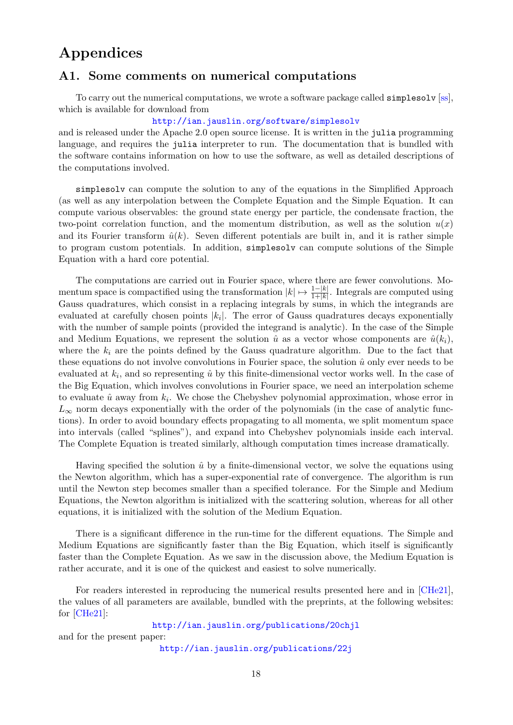# Appendices

## <span id="page-18-0"></span>A1. Some comments on numerical computations

To carry out the numerical computations, we wrote a software package called simplesolv [\[ss\]](#page-22-8), which is available for download from

#### <http://ian.jauslin.org/software/simplesolv>

and is released under the Apache 2.0 open source license. It is written in the julia programming language, and requires the julia interpreter to run. The documentation that is bundled with the software contains information on how to use the software, as well as detailed descriptions of the computations involved.

simplesolv can compute the solution to any of the equations in the Simplified Approach (as well as any interpolation between the Complete Equation and the Simple Equation. It can compute various observables: the ground state energy per particle, the condensate fraction, the two-point correlation function, and the momentum distribution, as well as the solution  $u(x)$ and its Fourier transform  $\hat{u}(k)$ . Seven different potentials are built in, and it is rather simple to program custom potentials. In addition, simplesolv can compute solutions of the Simple Equation with a hard core potential.

The computations are carried out in Fourier space, where there are fewer convolutions. Momentum space is compactified using the transformation  $|k| \mapsto \frac{1-|k|}{1+|k|}$ . Integrals are computed using Gauss quadratures, which consist in a replacing integrals by sums, in which the integrands are evaluated at carefully chosen points  $|k_i|$ . The error of Gauss quadratures decays exponentially with the number of sample points (provided the integrand is analytic). In the case of the Simple and Medium Equations, we represent the solution  $\hat{u}$  as a vector whose components are  $\hat{u}(k_i)$ , where the  $k_i$  are the points defined by the Gauss quadrature algorithm. Due to the fact that these equations do not involve convolutions in Fourier space, the solution  $\hat{u}$  only ever needs to be evaluated at  $k_i$ , and so representing  $\hat{u}$  by this finite-dimensional vector works well. In the case of the Big Equation, which involves convolutions in Fourier space, we need an interpolation scheme to evaluate  $\hat{u}$  away from  $k_i$ . We chose the Chebyshev polynomial approximation, whose error in  $L_{\infty}$  norm decays exponentially with the order of the polynomials (in the case of analytic functions). In order to avoid boundary effects propagating to all momenta, we split momentum space into intervals (called "splines"), and expand into Chebyshev polynomials inside each interval. The Complete Equation is treated similarly, although computation times increase dramatically.

Having specified the solution  $\hat{u}$  by a finite-dimensional vector, we solve the equations using the Newton algorithm, which has a super-exponential rate of convergence. The algorithm is run until the Newton step becomes smaller than a specified tolerance. For the Simple and Medium Equations, the Newton algorithm is initialized with the scattering solution, whereas for all other equations, it is initialized with the solution of the Medium Equation.

There is a significant difference in the run-time for the different equations. The Simple and Medium Equations are significantly faster than the Big Equation, which itself is significantly faster than the Complete Equation. As we saw in the discussion above, the Medium Equation is rather accurate, and it is one of the quickest and easiest to solve numerically.

For readers interested in reproducing the numerical results presented here and in [\[CHe21\]](#page-21-13), the values of all parameters are available, bundled with the preprints, at the following websites: for [\[CHe21\]](#page-21-13):

<http://ian.jauslin.org/publications/20chjl> and for the present paper:

<http://ian.jauslin.org/publications/22j>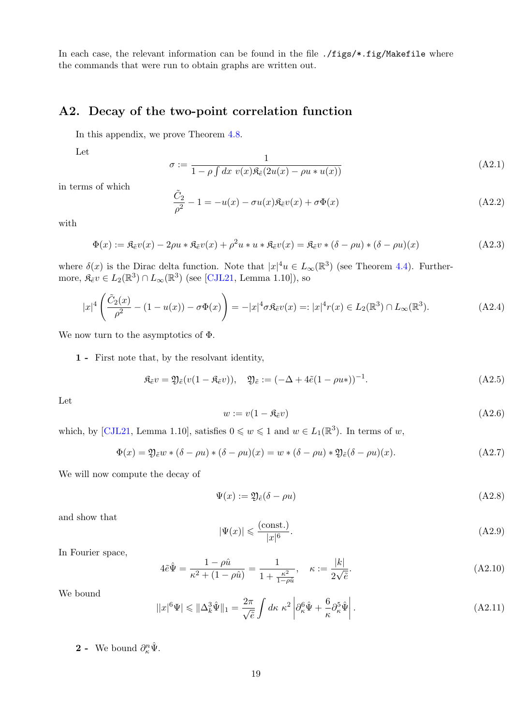In each case, the relevant information can be found in the file ./figs/\*.fig/Makefile where the commands that were run to obtain graphs are written out.

## <span id="page-19-0"></span>A2. Decay of the two-point correlation function

In this appendix, we prove Theorem [4.8.](#page-15-1)

Let

$$
\sigma := \frac{1}{1 - \rho \int dx \ v(x) \mathfrak{K}_{\tilde{e}}(2u(x) - \rho u * u(x))}
$$
(A2.1)

in terms of which

$$
\frac{\tilde{C}_2}{\rho^2} - 1 = -u(x) - \sigma u(x)\mathfrak{K}_{\tilde{e}}v(x) + \sigma \Phi(x)
$$
\n(A2.2)

with

$$
\Phi(x) := \mathfrak{K}_{\tilde{e}}v(x) - 2\rho u * \mathfrak{K}_{\tilde{e}}v(x) + \rho^2 u * u * \mathfrak{K}_{\tilde{e}}v(x) = \mathfrak{K}_{\tilde{e}}v * (\delta - \rho u) * (\delta - \rho u)(x)
$$
\n(A2.3)

where  $\delta(x)$  is the Dirac delta function. Note that  $|x|^4u \in L_{\infty}(\mathbb{R}^3)$  (see Theorem [4.4\)](#page-10-0). Furthermore,  $\mathfrak{K}_{\tilde{e}}v \in L_2(\mathbb{R}^3) \cap L_\infty(\mathbb{R}^3)$  (see [\[CJL21,](#page-21-11) Lemma 1.10]), so

$$
|x|^4 \left( \frac{\tilde{C}_2(x)}{\rho^2} - (1 - u(x)) - \sigma \Phi(x) \right) = -|x|^4 \sigma \mathfrak{K}_{\tilde{e}} v(x) =: |x|^4 r(x) \in L_2(\mathbb{R}^3) \cap L_\infty(\mathbb{R}^3). \tag{A2.4}
$$

We now turn to the asymptotics of  $\Phi$ .

1 - First note that, by the resolvant identity,

$$
\mathfrak{K}_{\tilde{e}}v = \mathfrak{Y}_{\tilde{e}}(v(1 - \mathfrak{K}_{\tilde{e}}v)), \quad \mathfrak{Y}_{\tilde{e}} := (-\Delta + 4\tilde{e}(1 - \rho u_*))^{-1}.
$$
\n(A2.5)

Let

<span id="page-19-1"></span>
$$
w := v(1 - \mathfrak{K}_{\tilde{e}}v) \tag{A2.6}
$$

which, by [\[CJL21,](#page-21-11) Lemma 1.10], satisfies  $0 \leq w \leq 1$  and  $w \in L_1(\mathbb{R}^3)$ . In terms of w,

$$
\Phi(x) = \mathfrak{Y}_{\tilde{e}} w * (\delta - \rho u) * (\delta - \rho u)(x) = w * (\delta - \rho u) * \mathfrak{Y}_{\tilde{e}} (\delta - \rho u)(x).
$$
\n(A2.7)

We will now compute the decay of

$$
\Psi(x) := \mathfrak{Y}_{\tilde{e}}(\delta - \rho u) \tag{A2.8}
$$

and show that

$$
|\Psi(x)| \leqslant \frac{(\text{const.})}{|x|^6}.\tag{A2.9}
$$

In Fourier space,

$$
4\tilde{e}\hat{\Psi} = \frac{1 - \rho \hat{u}}{\kappa^2 + (1 - \rho \hat{u})} = \frac{1}{1 + \frac{\kappa^2}{1 - \rho \hat{u}}}, \quad \kappa := \frac{|k|}{2\sqrt{\tilde{e}}}.
$$
\n(A2.10)

We bound

$$
||x|^6 \Psi \le ||\Delta_k^3 \hat{\Psi}||_1 = \frac{2\pi}{\sqrt{\tilde{e}}} \int d\kappa \ \kappa^2 \left| \partial_\kappa^6 \hat{\Psi} + \frac{6}{\kappa} \partial_\kappa^5 \hat{\Psi} \right|.
$$
 (A2.11)

**2** - We bound  $\partial_{\kappa}^n \hat{\Psi}$ .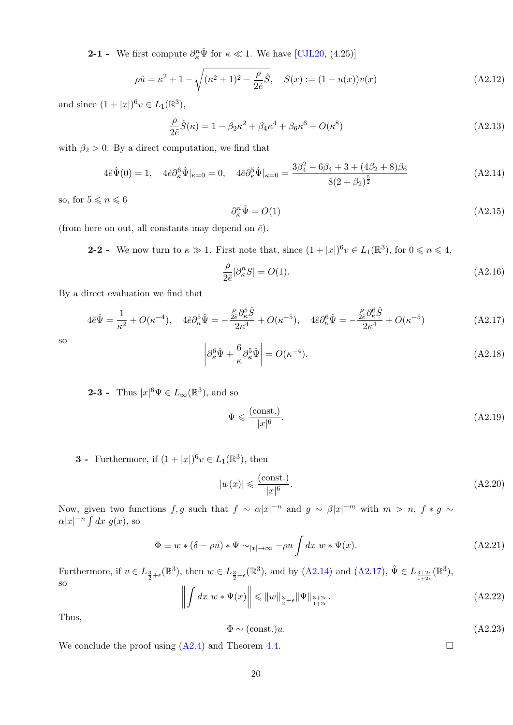**2-1** - We first compute  $\partial_{\kappa}^n \hat{\Psi}$  for  $\kappa \ll 1$ . We have [\[CJL20,](#page-21-10) (4.25)]

$$
\rho \hat{u} = \kappa^2 + 1 - \sqrt{(\kappa^2 + 1)^2 - \frac{\rho}{2\tilde{e}}}\hat{S}, \quad S(x) := (1 - u(x))v(x)
$$
\n(A2.12)

and since  $(1 + |x|)^6 v \in L_1(\mathbb{R}^3)$ ,

$$
\frac{\rho}{2\tilde{e}}\hat{S}(\kappa) = 1 - \beta_2 \kappa^2 + \beta_4 \kappa^4 + \beta_6 \kappa^6 + O(\kappa^8)
$$
\n(A2.13)

with  $\beta_2 > 0$ . By a direct computation, we find that

$$
4\tilde{\epsilon}\hat{\Psi}(0) = 1, \quad 4\tilde{\epsilon}\partial_{\kappa}^{6}\hat{\Psi}|_{\kappa=0} = 0, \quad 4\tilde{\epsilon}\partial_{\kappa}^{5}\hat{\Psi}|_{\kappa=0} = \frac{3\beta_{4}^{2} - 6\beta_{4} + 3 + (4\beta_{2} + 8)\beta_{6}}{8(2 + \beta_{2})^{\frac{5}{2}}}
$$
(A2.14)

so, for  $5 \leqslant n \leqslant 6$ 

<span id="page-20-0"></span>
$$
\partial_{\kappa}^{n} \hat{\Psi} = O(1) \tag{A2.15}
$$

(from here on out, all constants may depend on  $\tilde{e}$ ).

**2-2** - We now turn to  $\kappa \gg 1$ . First note that, since  $(1+|x|)^6 v \in L_1(\mathbb{R}^3)$ , for  $0 \le n \le 4$ ,

<span id="page-20-1"></span>
$$
\frac{\rho}{2\tilde{e}}|\partial_{\kappa}^n S| = O(1). \tag{A2.16}
$$

By a direct evaluation we find that

$$
4\tilde{e}\hat{\Psi} = \frac{1}{\kappa^2} + O(\kappa^{-4}), \quad 4\tilde{e}\partial_{\kappa}^5 \hat{\Psi} = -\frac{\frac{\rho}{2\tilde{e}}\partial_{\kappa}^5 \hat{S}}{2\kappa^4} + O(\kappa^{-5}), \quad 4\tilde{e}\partial_{\kappa}^6 \hat{\Psi} = -\frac{\frac{\rho}{2\tilde{e}}\partial_{\kappa}^6 \hat{S}}{2\kappa^4} + O(\kappa^{-5})
$$
(A2.17)

so

$$
\left| \partial_{\kappa}^{6} \hat{\Psi} + \frac{6}{\kappa} \partial_{\kappa}^{5} \hat{\Psi} \right| = O(\kappa^{-4}). \tag{A2.18}
$$

**2-3** - Thus  $|x|^6 \Psi \in L_\infty(\mathbb{R}^3)$ , and so

$$
\Psi \leqslant \frac{(\text{const.})}{|x|^6}.\tag{A2.19}
$$

**3** - Furthermore, if  $(1+|x|)^6 v \in L_1(\mathbb{R}^3)$ , then

$$
|w(x)| \leqslant \frac{(\text{const.})}{|x|^6}.\tag{A2.20}
$$

Now, given two functions  $f, g$  such that  $f \sim \alpha |x|^{-n}$  and  $g \sim \beta |x|^{-m}$  with  $m > n$ ,  $f * g \sim$  $\alpha |x|^{-n} \int dx \ g(x)$ , so

$$
\Phi \equiv w * (\delta - \rho u) * \Psi \sim_{|x| \to \infty} -\rho u \int dx \ w * \Psi(x). \tag{A2.21}
$$

Furthermore, if  $v \in L_{\frac{3}{2}+\epsilon}(\mathbb{R}^3)$ , then  $w \in L_{\frac{3}{2}+\epsilon}(\mathbb{R}^3)$ , and by [\(A2.14\)](#page-20-0) and [\(A2.17\)](#page-20-1),  $\hat{\Psi} \in L_{\frac{3+2\epsilon}{1+2\epsilon}}(\mathbb{R}^3)$ , so

$$
\left\| \int dx \ w * \Psi(x) \right\| \leqslant \|w\|_{\frac{3}{2} + \epsilon} \|\Psi\|_{\frac{3+2\epsilon}{1+2\epsilon}}.
$$
\n(A2.22)

Thus,

$$
\Phi \sim (\text{const.})u. \tag{A2.23}
$$

We conclude the proof using  $(A2.4)$  and Theorem [4.4.](#page-10-0)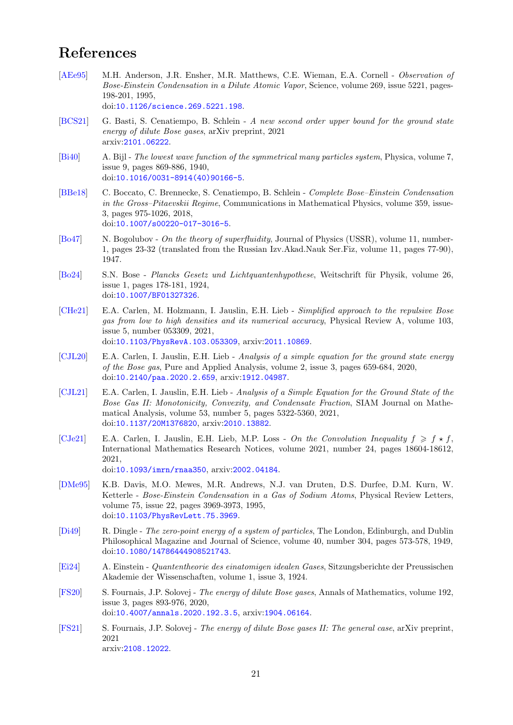## <span id="page-21-0"></span>References

- <span id="page-21-4"></span>[\[AEe95\]](#page-21-4) M.H. Anderson, J.R. Ensher, M.R. Matthews, C.E. Wieman, E.A. Cornell - Observation of Bose-Einstein Condensation in a Dilute Atomic Vapor, Science, volume 269, issue 5221, pages-198-201, 1995, doi:[10.1126/science.269.5221.198](http://dx.doi.org/10.1126/science.269.5221.198).
- <span id="page-21-8"></span>[\[BCS21\]](#page-21-8) G. Basti, S. Cenatiempo, B. Schlein - A new second order upper bound for the ground state energy of dilute Bose gases, arXiv preprint, 2021 arxiv:[2101.06222](https://arxiv.org/abs/2101.06222).
- <span id="page-21-14"></span>[\[Bi40\]](#page-21-14) A. Bijl - The lowest wave function of the symmetrical many particles system, Physica, volume 7, issue 9, pages 869-886, 1940, doi:[10.1016/0031-8914\(40\)90166-5](http://dx.doi.org/10.1016/0031-8914(40)90166-5).
- <span id="page-21-6"></span>[\[BBe18\]](#page-21-6) C. Boccato, C. Brennecke, S. Cenatiempo, B. Schlein - Complete Bose–Einstein Condensation in the Gross–Pitaevskii Regime, Communications in Mathematical Physics, volume 359, issue-3, pages 975-1026, 2018, doi:[10.1007/s00220-017-3016-5](http://dx.doi.org/10.1007/s00220-017-3016-5).
- <span id="page-21-7"></span>[\[Bo47\]](#page-21-7) N. Bogolubov - On the theory of superfluidity, Journal of Physics (USSR), volume 11, number-1, pages 23-32 (translated from the Russian Izv.Akad.Nauk Ser.Fiz, volume 11, pages 77-90), 1947.
- <span id="page-21-2"></span>[\[Bo24\]](#page-21-2) S.N. Bose - Plancks Gesetz und Lichtquantenhypothese, Weitschrift für Physik, volume 26, issue 1, pages 178-181, 1924, doi:[10.1007/BF01327326](http://dx.doi.org/10.1007/BF01327326).
- <span id="page-21-13"></span>[\[CHe21\]](#page-21-13) E.A. Carlen, M. Holzmann, I. Jauslin, E.H. Lieb - Simplified approach to the repulsive Bose gas from low to high densities and its numerical accuracy, Physical Review A, volume 103, issue 5, number 053309, 2021, doi:[10.1103/PhysRevA.103.053309](http://dx.doi.org/10.1103/PhysRevA.103.053309), arxiv:[2011.10869](http://arxiv.org/abs/2011.10869).
- <span id="page-21-10"></span>[\[CJL20\]](#page-21-10) E.A. Carlen, I. Jauslin, E.H. Lieb - Analysis of a simple equation for the ground state energy of the Bose gas, Pure and Applied Analysis, volume 2, issue 3, pages 659-684, 2020, doi:[10.2140/paa.2020.2.659](http://dx.doi.org/10.2140/paa.2020.2.659), arxiv:[1912.04987](http://arxiv.org/abs/1912.04987).
- <span id="page-21-11"></span>[\[CJL21\]](#page-21-11) E.A. Carlen, I. Jauslin, E.H. Lieb - Analysis of a Simple Equation for the Ground State of the Bose Gas II: Monotonicity, Convexity, and Condensate Fraction, SIAM Journal on Mathematical Analysis, volume 53, number 5, pages 5322-5360, 2021, doi:[10.1137/20M1376820](http://dx.doi.org/10.1137/20M1376820), arxiv:[2010.13882](http://arxiv.org/abs/2010.13882).
- <span id="page-21-12"></span>[\[CJe21\]](#page-21-12) E.A. Carlen, I. Jauslin, E.H. Lieb, M.P. Loss - On the Convolution Inequality  $f \geq f \star f$ . International Mathematics Research Notices, volume 2021, number 24, pages 18604-18612, 2021,
	- doi:[10.1093/imrn/rnaa350](http://dx.doi.org/10.1093/imrn/rnaa350), arxiv:[2002.04184](http://arxiv.org/abs/2002.04184).
- <span id="page-21-5"></span>[\[DMe95\]](#page-21-5) K.B. Davis, M.O. Mewes, M.R. Andrews, N.J. van Druten, D.S. Durfee, D.M. Kurn, W. Ketterle - Bose-Einstein Condensation in a Gas of Sodium Atoms, Physical Review Letters, volume 75, issue 22, pages 3969-3973, 1995, doi:[10.1103/PhysRevLett.75.3969](http://dx.doi.org/10.1103/PhysRevLett.75.3969).
- <span id="page-21-15"></span>[\[Di49\]](#page-21-15) R. Dingle - The zero-point energy of a system of particles, The London, Edinburgh, and Dublin Philosophical Magazine and Journal of Science, volume 40, number 304, pages 573-578, 1949, doi:[10.1080/14786444908521743](http://dx.doi.org/10.1080/14786444908521743).
- <span id="page-21-3"></span>[\[Ei24\]](#page-21-3) A. Einstein - Quantentheorie des einatomigen idealen Gases, Sitzungsberichte der Preussischen Akademie der Wissenschaften, volume 1, issue 3, 1924.
- <span id="page-21-1"></span>[\[FS20\]](#page-21-1) S. Fournais, J.P. Solovej - The energy of dilute Bose gases, Annals of Mathematics, volume 192, issue 3, pages 893-976, 2020, doi:[10.4007/annals.2020.192.3.5](http://dx.doi.org/10.4007/annals.2020.192.3.5), arxiv:[1904.06164](http://arxiv.org/abs/1904.06164).
- <span id="page-21-9"></span>[\[FS21\]](#page-21-9) S. Fournais, J.P. Solovej - The energy of dilute Bose gases II: The general case, arXiv preprint, 2021 arxiv:[2108.12022](https://arxiv.org/abs/2108.12022).